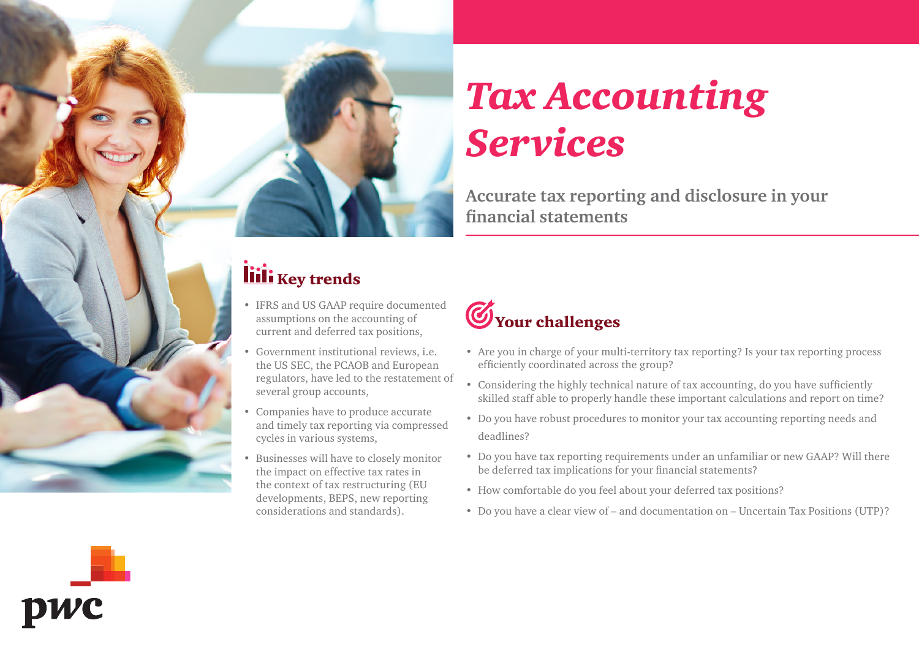

**Accurate tax reporting and disclosure in your financial statements**

### liili Key trends

- IFRS and US GAAP require documented assumptions on the accounting of current and deferred tax positions,
- Government institutional reviews, i.e. the US SEC, the PCAOB and European regulators, have led to the restatement of several group accounts,
- Companies have to produce accurate and timely tax reporting via compressed cycles in various systems,
- Businesses will have to closely monitor the impact on effective tax rates in the context of tax restructuring (EU developments, BEPS, new reporting considerations and standards).

## **W**Your challenges

- Are you in charge of your multi-territory tax reporting? Is your tax reporting process efficiently coordinated across the group?
- Considering the highly technical nature of tax accounting, do you have sufficiently skilled staff able to properly handle these important calculations and report on time?
- Do you have robust procedures to monitor your tax accounting reporting needs and deadlines?
- Do you have tax reporting requirements under an unfamiliar or new GAAP? Will there be deferred tax implications for your financial statements?
- How comfortable do you feel about your deferred tax positions?
- Do you have a clear view of and documentation on Uncertain Tax Positions (UTP)?